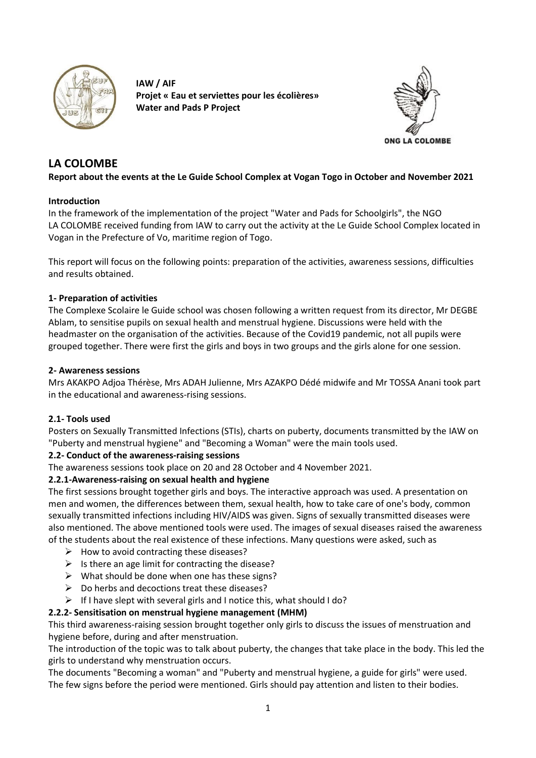

**IAW / AIF Projet « Eau et serviettes pour les écolières» Water and Pads P Project**



# **LA COLOMBE**

### **Report about the events at the Le Guide School Complex at Vogan Togo in October and November 2021**

### **Introduction**

In the framework of the implementation of the project "Water and Pads for Schoolgirls", the NGO LA COLOMBE received funding from IAW to carry out the activity at the Le Guide School Complex located in Vogan in the Prefecture of Vo, maritime region of Togo.

This report will focus on the following points: preparation of the activities, awareness sessions, difficulties and results obtained.

### **1- Preparation of activities**

The Complexe Scolaire le Guide school was chosen following a written request from its director, Mr DEGBE Ablam, to sensitise pupils on sexual health and menstrual hygiene. Discussions were held with the headmaster on the organisation of the activities. Because of the Covid19 pandemic, not all pupils were grouped together. There were first the girls and boys in two groups and the girls alone for one session.

### **2- Awareness sessions**

Mrs AKAKPO Adjoa Thérèse, Mrs ADAH Julienne, Mrs AZAKPO Dédé midwife and Mr TOSSA Anani took part in the educational and awareness-rising sessions.

#### **2.1- Tools used**

Posters on Sexually Transmitted Infections (STIs), charts on puberty, documents transmitted by the IAW on "Puberty and menstrual hygiene" and "Becoming a Woman" were the main tools used.

# **2.2- Conduct of the awareness-raising sessions**

The awareness sessions took place on 20 and 28 October and 4 November 2021.

# **2.2.1-Awareness-raising on sexual health and hygiene**

The first sessions brought together girls and boys. The interactive approach was used. A presentation on men and women, the differences between them, sexual health, how to take care of one's body, common sexually transmitted infections including HIV/AIDS was given. Signs of sexually transmitted diseases were also mentioned. The above mentioned tools were used. The images of sexual diseases raised the awareness of the students about the real existence of these infections. Many questions were asked, such as

- $\triangleright$  How to avoid contracting these diseases?
- $\triangleright$  Is there an age limit for contracting the disease?
- $\triangleright$  What should be done when one has these signs?
- $\triangleright$  Do herbs and decoctions treat these diseases?
- $\triangleright$  If I have slept with several girls and I notice this, what should I do?

# **2.2.2- Sensitisation on menstrual hygiene management (MHM)**

This third awareness-raising session brought together only girls to discuss the issues of menstruation and hygiene before, during and after menstruation.

The introduction of the topic was to talk about puberty, the changes that take place in the body. This led the girls to understand why menstruation occurs.

The documents "Becoming a woman" and "Puberty and menstrual hygiene, a guide for girls" were used. The few signs before the period were mentioned. Girls should pay attention and listen to their bodies.